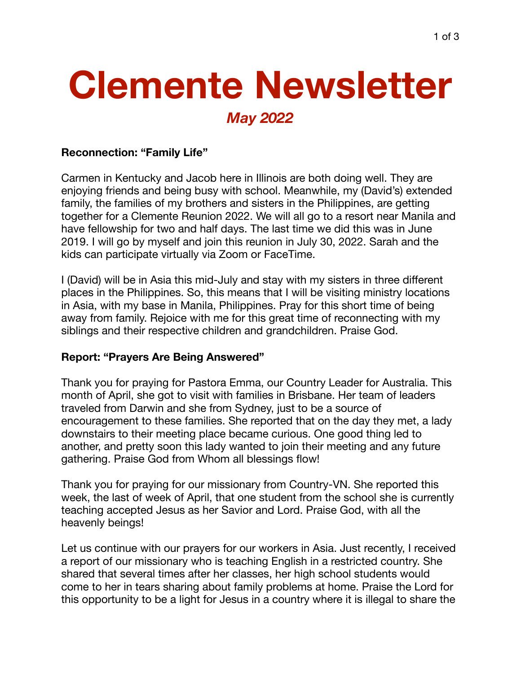# **Clemente Newsletter** *May 2022*

#### **Reconnection: "Family Life"**

Carmen in Kentucky and Jacob here in Illinois are both doing well. They are enjoying friends and being busy with school. Meanwhile, my (David's) extended family, the families of my brothers and sisters in the Philippines, are getting together for a Clemente Reunion 2022. We will all go to a resort near Manila and have fellowship for two and half days. The last time we did this was in June 2019. I will go by myself and join this reunion in July 30, 2022. Sarah and the kids can participate virtually via Zoom or FaceTime.

I (David) will be in Asia this mid-July and stay with my sisters in three different places in the Philippines. So, this means that I will be visiting ministry locations in Asia, with my base in Manila, Philippines. Pray for this short time of being away from family. Rejoice with me for this great time of reconnecting with my siblings and their respective children and grandchildren. Praise God.

### **Report: "Prayers Are Being Answered"**

Thank you for praying for Pastora Emma, our Country Leader for Australia. This month of April, she got to visit with families in Brisbane. Her team of leaders traveled from Darwin and she from Sydney, just to be a source of encouragement to these families. She reported that on the day they met, a lady downstairs to their meeting place became curious. One good thing led to another, and pretty soon this lady wanted to join their meeting and any future gathering. Praise God from Whom all blessings flow!

Thank you for praying for our missionary from Country-VN. She reported this week, the last of week of April, that one student from the school she is currently teaching accepted Jesus as her Savior and Lord. Praise God, with all the heavenly beings!

Let us continue with our prayers for our workers in Asia. Just recently, I received a report of our missionary who is teaching English in a restricted country. She shared that several times after her classes, her high school students would come to her in tears sharing about family problems at home. Praise the Lord for this opportunity to be a light for Jesus in a country where it is illegal to share the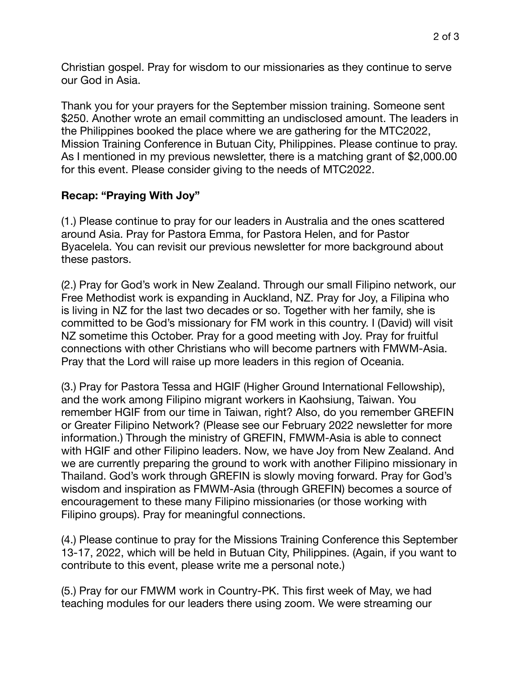Christian gospel. Pray for wisdom to our missionaries as they continue to serve our God in Asia.

Thank you for your prayers for the September mission training. Someone sent \$250. Another wrote an email committing an undisclosed amount. The leaders in the Philippines booked the place where we are gathering for the MTC2022, Mission Training Conference in Butuan City, Philippines. Please continue to pray. As I mentioned in my previous newsletter, there is a matching grant of \$2,000.00 for this event. Please consider giving to the needs of MTC2022.

## **Recap: "Praying With Joy"**

(1.) Please continue to pray for our leaders in Australia and the ones scattered around Asia. Pray for Pastora Emma, for Pastora Helen, and for Pastor Byacelela. You can revisit our previous newsletter for more background about these pastors.

(2.) Pray for God's work in New Zealand. Through our small Filipino network, our Free Methodist work is expanding in Auckland, NZ. Pray for Joy, a Filipina who is living in NZ for the last two decades or so. Together with her family, she is committed to be God's missionary for FM work in this country. I (David) will visit NZ sometime this October. Pray for a good meeting with Joy. Pray for fruitful connections with other Christians who will become partners with FMWM-Asia. Pray that the Lord will raise up more leaders in this region of Oceania.

(3.) Pray for Pastora Tessa and HGIF (Higher Ground International Fellowship), and the work among Filipino migrant workers in Kaohsiung, Taiwan. You remember HGIF from our time in Taiwan, right? Also, do you remember GREFIN or Greater Filipino Network? (Please see our February 2022 newsletter for more information.) Through the ministry of GREFIN, FMWM-Asia is able to connect with HGIF and other Filipino leaders. Now, we have Joy from New Zealand. And we are currently preparing the ground to work with another Filipino missionary in Thailand. God's work through GREFIN is slowly moving forward. Pray for God's wisdom and inspiration as FMWM-Asia (through GREFIN) becomes a source of encouragement to these many Filipino missionaries (or those working with Filipino groups). Pray for meaningful connections.

(4.) Please continue to pray for the Missions Training Conference this September 13-17, 2022, which will be held in Butuan City, Philippines. (Again, if you want to contribute to this event, please write me a personal note.)

(5.) Pray for our FMWM work in Country-PK. This first week of May, we had teaching modules for our leaders there using zoom. We were streaming our